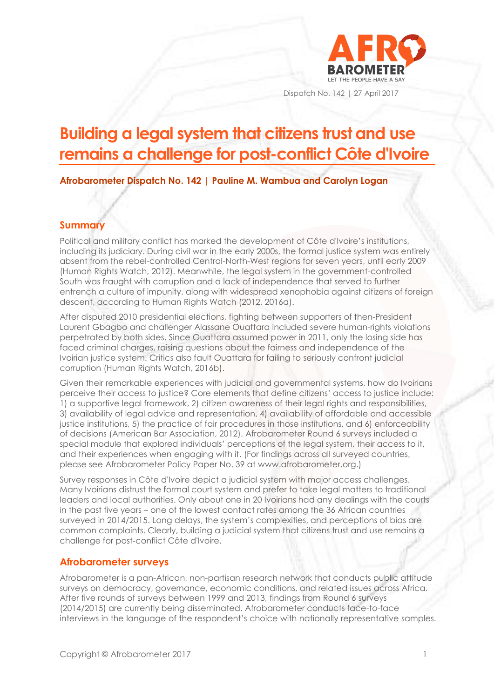

Dispatch No. 142 | 27 April 2017

# **Building a legal system that citizens trust and use remains a challenge for post-conflict Côte d'Ivoire**

**Afrobarometer Dispatch No. 142 | Pauline M. Wambua and Carolyn Logan**

#### **Summary**

Political and military conflict has marked the development of Côte d'Ivoire's institutions, including its judiciary. During civil war in the early 2000s, the formal justice system was entirely absent from the rebel-controlled Central-North-West regions for seven years, until early 2009 (Human Rights Watch, 2012). Meanwhile, the legal system in the government-controlled South was fraught with corruption and a lack of independence that served to further entrench a culture of impunity, along with widespread xenophobia against citizens of foreign descent, according to Human Rights Watch (2012, 2016a).

After disputed 2010 presidential elections, fighting between supporters of then-President Laurent Gbagbo and challenger Alassane Ouattara included severe human-rights violations perpetrated by both sides. Since Ouattara assumed power in 2011, only the losing side has faced criminal charges, raising questions about the fairness and independence of the Ivoirian justice system. Critics also fault Ouattara for failing to seriously confront judicial corruption (Human Rights Watch, 2016b).

Given their remarkable experiences with judicial and governmental systems, how do Ivoirians perceive their access to justice? Core elements that define citizens' access to justice include: 1) a supportive legal framework, 2) citizen awareness of their legal rights and responsibilities, 3) availability of legal advice and representation, 4) availability of affordable and accessible justice institutions, 5) the practice of fair procedures in those institutions, and 6) enforceability of decisions (American Bar Association, 2012). Afrobarometer Round 6 surveys included a special module that explored individuals' perceptions of the legal system, their access to it, and their experiences when engaging with it. (For findings across all surveyed countries, please see Afrobarometer Policy Paper No. 39 at www.afrobarometer.org.)

Survey responses in Côte d'Ivoire depict a judicial system with major access challenges. Many Ivoirians distrust the formal court system and prefer to take legal matters to traditional leaders and local authorities. Only about one in 20 Ivoirians had any dealings with the courts in the past five years – one of the lowest contact rates among the 36 African countries surveyed in 2014/2015. Long delays, the system's complexities, and perceptions of bias are common complaints. Clearly, building a judicial system that citizens trust and use remains a challenge for post-conflict Côte d'Ivoire.

#### **Afrobarometer surveys**

Afrobarometer is a pan-African, non-partisan research network that conducts public attitude surveys on democracy, governance, economic conditions, and related issues across Africa. After five rounds of surveys between 1999 and 2013, findings from Round 6 surveys (2014/2015) are currently being disseminated. Afrobarometer conducts face-to-face interviews in the language of the respondent's choice with nationally representative samples.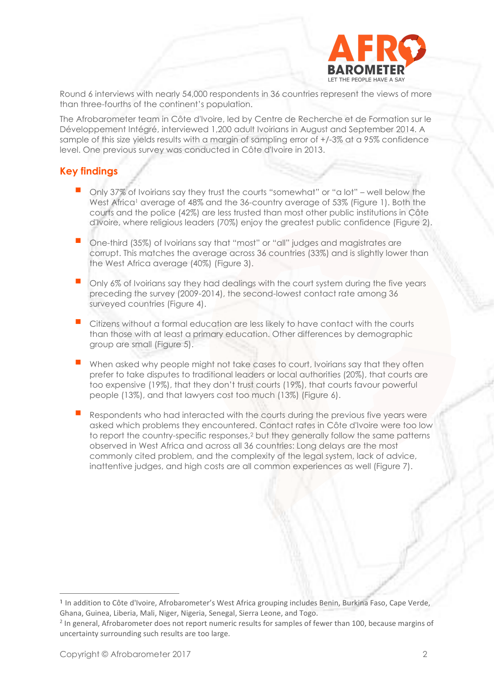

Round 6 interviews with nearly 54,000 respondents in 36 countries represent the views of more than three-fourths of the continent's population.

The Afrobarometer team in Côte d'Ivoire, led by Centre de Recherche et de Formation sur le Développement Intégré, interviewed 1,200 adult Ivoirians in August and September 2014. A sample of this size yields results with a margin of sampling error of +/-3% at a 95% confidence level. One previous survey was conducted in Côte d'Ivoire in 2013.

#### **Key findings**

- Only 37% of Ivoirians say they trust the courts "somewhat" or "a lot" well below the West Africa<sup>1</sup> average of 48% and the 36-country average of 53% (Figure 1). Both the courts and the police (42%) are less trusted than most other public institutions in Côte d'Ivoire, where religious leaders (70%) enjoy the greatest public confidence (Figure 2).
- One-third (35%) of Ivoirians say that "most" or "all" judges and magistrates are corrupt. This matches the average across 36 countries (33%) and is slightly lower than the West Africa average (40%) (Figure 3).
- Only 6% of Ivoirians say they had dealings with the court system during the five years preceding the survey (2009-2014), the second-lowest contact rate among 36 surveyed countries (Figure 4).
- Citizens without a formal education are less likely to have contact with the courts than those with at least a primary education. Other differences by demographic group are small (Figure 5).
- When asked why people might not take cases to court, Ivoirians say that they often prefer to take disputes to traditional leaders or local authorities (20%), that courts are too expensive (19%), that they don't trust courts (19%), that courts favour powerful people (13%), and that lawyers cost too much (13%) (Figure 6).
- Respondents who had interacted with the courts during the previous five years were asked which problems they encountered. Contact rates in Côte d'Ivoire were too low to report the country-specific responses,<sup>2</sup> but they generally follow the same patterns observed in West Africa and across all 36 countries: Long delays are the most commonly cited problem, and the complexity of the legal system, lack of advice, inattentive judges, and high costs are all common experiences as well (Figure 7).

**<sup>1</sup>** In addition to Côte d'Ivoire, Afrobarometer's West Africa grouping includes Benin, Burkina Faso, Cape Verde, Ghana, Guinea, Liberia, Mali, Niger, Nigeria, Senegal, Sierra Leone, and Togo.

<sup>&</sup>lt;sup>2</sup> In general, Afrobarometer does not report numeric results for samples of fewer than 100, because margins of uncertainty surrounding such results are too large.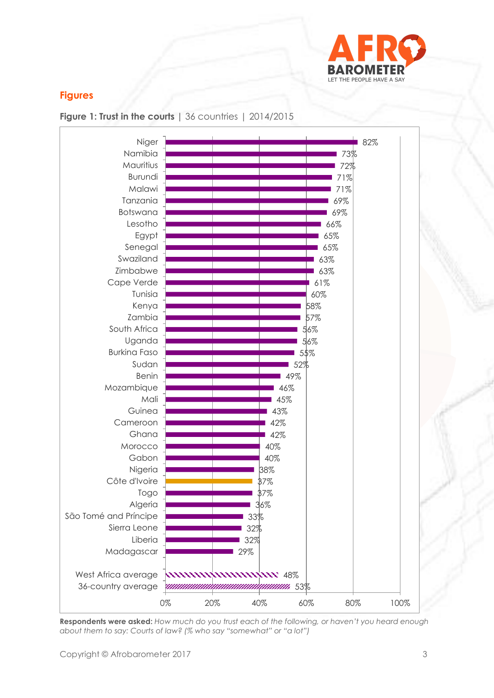

## **Figures**





**Respondents were asked:** *How much do you trust each of the following, or haven't you heard enough about them to say: Courts of law? (% who say "somewhat" or "a lot")*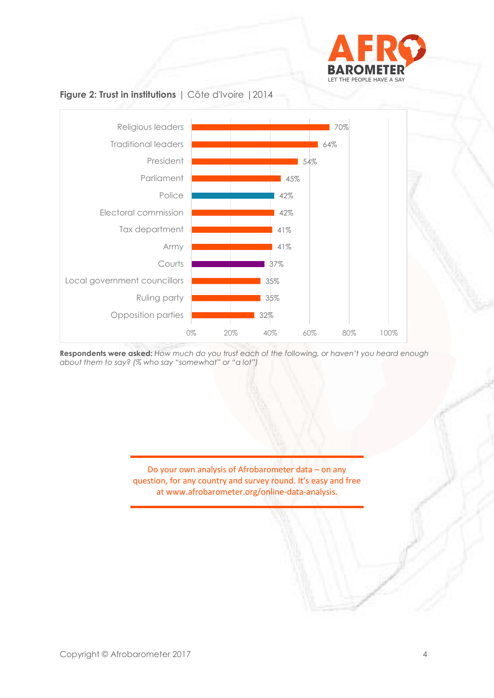

### **Figure 2: Trust in institutions** | Côte d'Ivoire |2014



**Respondents were asked:** *How much do you trust each of the following, or haven't you heard enough about them to say? (% who say "somewhat" or "a lot")*

> Do your own analysis of Afrobarometer data – on any question, for any country and survey round. It's easy and free at www.afrobarometer.org/online-data-analysis.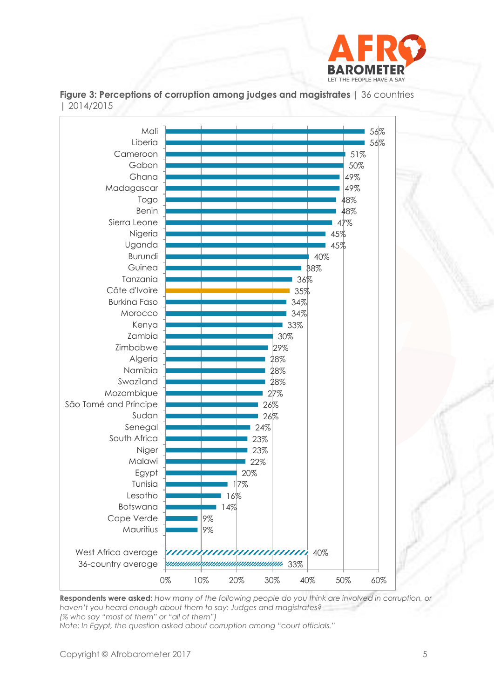





**Respondents were asked:** *How many of the following people do you think are involved in corruption, or haven't you heard enough about them to say: Judges and magistrates? (% who say "most of them" or "all of them")*

*Note: In Egypt, the question asked about corruption among "court officials."*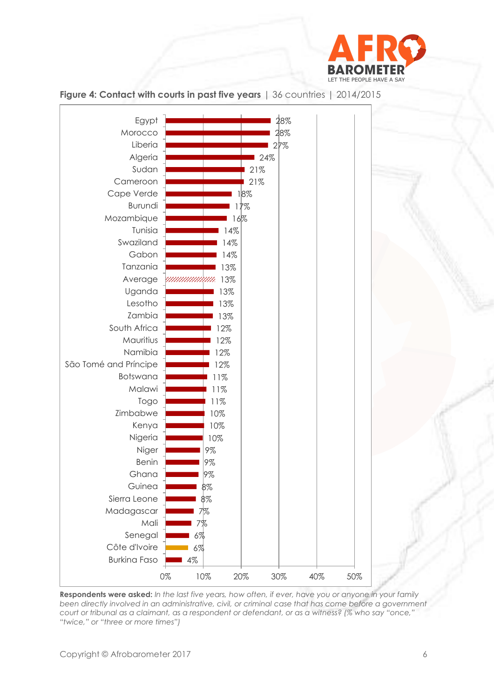



**Figure 4: Contact with courts in past five years** | 36 countries | 2014/2015

**Respondents were asked:** *In the last five years, how often, if ever, have you or anyone in your family been directly involved in an administrative, civil, or criminal case that has come before a government court or tribunal as a claimant, as a respondent or defendant, or as a witness? (% who say "once," "twice," or "three or more times")*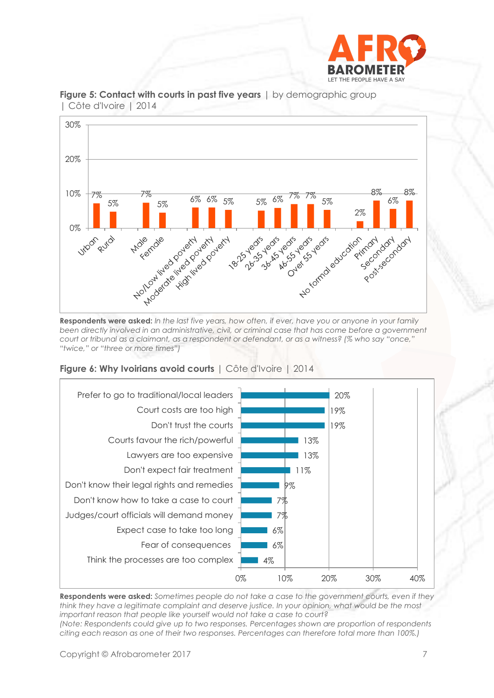



**Figure 5: Contact with courts in past five years**  $\vert$  by demographic group | Côte d'Ivoire | 2014

**Respondents were asked:** *In the last five years, how often, if ever, have you or anyone in your family been directly involved in an administrative, civil, or criminal case that has come before a government court or tribunal as a claimant, as a respondent or defendant, or as a witness? (% who say "once," "twice," or "three or more times")*





**Respondents were asked:** *Sometimes people do not take a case to the government courts, even if they think they have a legitimate complaint and deserve justice. In your opinion, what would be the most important reason that people like yourself would not take a case to court? (Note: Respondents could give up to two responses. Percentages shown are proportion of respondents citing each reason as one of their two responses. Percentages can therefore total more than 100%.)*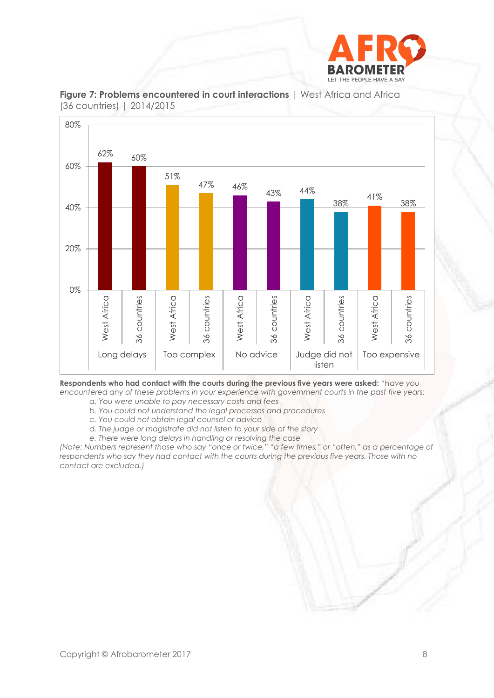



**Figure 7: Problems encountered in court interactions** | West Africa and Africa (36 countries) | 2014/2015

**Respondents who had contact with the courts during the previous five years were asked:** *"Have you encountered any of these problems in your experience with government courts in the past five years:*

*a. You were unable to pay necessary costs and fees*

*b. You could not understand the legal processes and procedures*

*c. You could not obtain legal counsel or advice*

- *d. The judge or magistrate did not listen to your side of the story*
- *e. There were long delays in handling or resolving the case*

*(Note: Numbers represent those who say "once or twice," "a few times," or "often," as a percentage of respondents who say they had contact with the courts during the previous five years. Those with no contact are excluded.)*